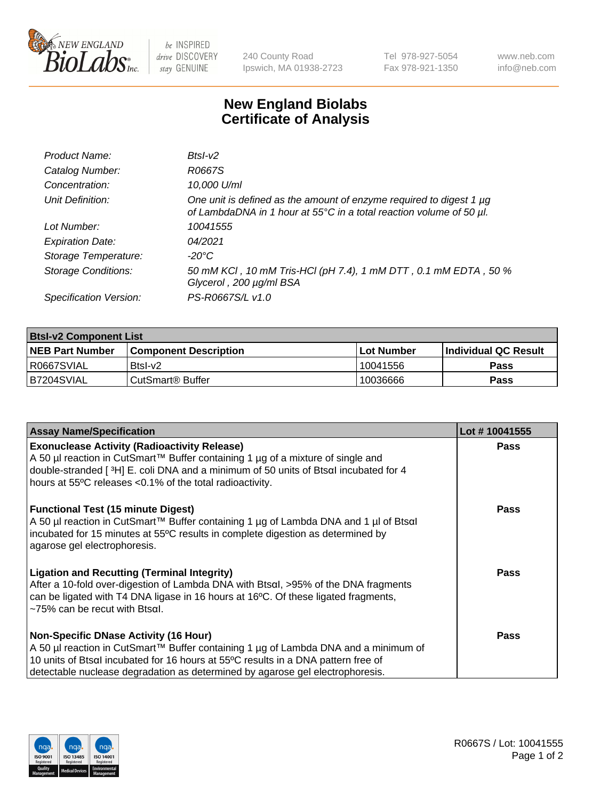

be INSPIRED drive DISCOVERY stay GENUINE

240 County Road Ipswich, MA 01938-2723 Tel 978-927-5054 Fax 978-921-1350 www.neb.com info@neb.com

## **New England Biolabs Certificate of Analysis**

| Product Name:              | $BtsI-V2$                                                                                                                                       |
|----------------------------|-------------------------------------------------------------------------------------------------------------------------------------------------|
| Catalog Number:            | R0667S                                                                                                                                          |
| Concentration:             | 10,000 U/ml                                                                                                                                     |
| Unit Definition:           | One unit is defined as the amount of enzyme required to digest 1 $\mu$ g<br>of LambdaDNA in 1 hour at 55°C in a total reaction volume of 50 µl. |
| Lot Number:                | 10041555                                                                                                                                        |
| <b>Expiration Date:</b>    | 04/2021                                                                                                                                         |
| Storage Temperature:       | $-20^{\circ}$ C                                                                                                                                 |
| <b>Storage Conditions:</b> | 50 mM KCI, 10 mM Tris-HCI (pH 7.4), 1 mM DTT, 0.1 mM EDTA, 50 %<br>Glycerol, 200 µg/ml BSA                                                      |
| Specification Version:     | PS-R0667S/L v1.0                                                                                                                                |

| <b>Btsl-v2 Component List</b> |                              |                   |                             |  |  |
|-------------------------------|------------------------------|-------------------|-----------------------------|--|--|
| <b>NEB Part Number</b>        | <b>Component Description</b> | <b>Lot Number</b> | <b>Individual QC Result</b> |  |  |
| I R0667SVIAL                  | $BtsI-v2$                    | 10041556          | <b>Pass</b>                 |  |  |
| B7204SVIAL                    | l CutSmart® Buffer           | 10036666          | Pass                        |  |  |

| <b>Assay Name/Specification</b>                                                                                                                                                                                                                                                                           | Lot #10041555 |
|-----------------------------------------------------------------------------------------------------------------------------------------------------------------------------------------------------------------------------------------------------------------------------------------------------------|---------------|
| <b>Exonuclease Activity (Radioactivity Release)</b><br>A 50 µl reaction in CutSmart™ Buffer containing 1 µg of a mixture of single and<br>double-stranded [3H] E. coli DNA and a minimum of 50 units of Btsal incubated for 4<br>hours at 55°C releases <0.1% of the total radioactivity.                 | <b>Pass</b>   |
| <b>Functional Test (15 minute Digest)</b><br>A 50 µl reaction in CutSmart™ Buffer containing 1 µg of Lambda DNA and 1 µl of Btsαl<br>incubated for 15 minutes at 55°C results in complete digestion as determined by<br>agarose gel electrophoresis.                                                      | <b>Pass</b>   |
| <b>Ligation and Recutting (Terminal Integrity)</b><br>After a 10-fold over-digestion of Lambda DNA with Btsal, >95% of the DNA fragments<br>can be ligated with T4 DNA ligase in 16 hours at 16°C. Of these ligated fragments,<br>~75% can be recut with Btsal.                                           | <b>Pass</b>   |
| <b>Non-Specific DNase Activity (16 Hour)</b><br>A 50 µl reaction in CutSmart™ Buffer containing 1 µg of Lambda DNA and a minimum of<br>10 units of Btsal incubated for 16 hours at 55°C results in a DNA pattern free of<br>detectable nuclease degradation as determined by agarose gel electrophoresis. | Pass          |